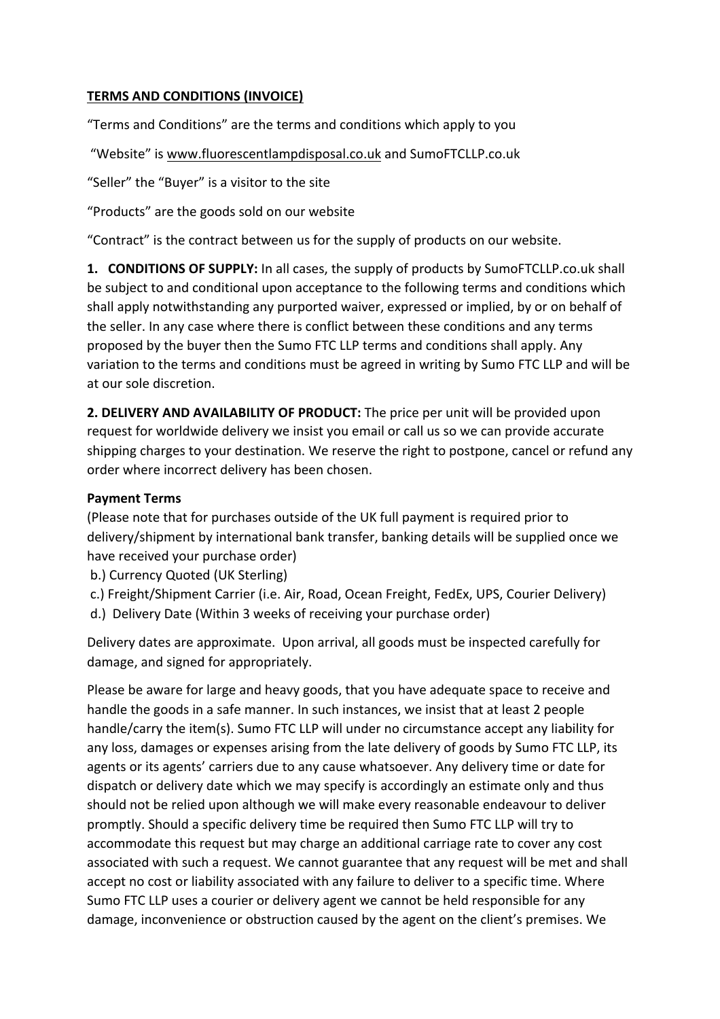## **TERMS AND CONDITIONS (INVOICE)**

"Terms and Conditions" are the terms and conditions which apply to you

"Website" is www.fluorescentlampdisposal.co.uk and SumoFTCLLP.co.uk

"Seller" the "Buyer" is a visitor to the site

"Products" are the goods sold on our website

"Contract" is the contract between us for the supply of products on our website.

**1. CONDITIONS OF SUPPLY:** In all cases, the supply of products by SumoFTCLLP.co.uk shall be subject to and conditional upon acceptance to the following terms and conditions which shall apply notwithstanding any purported waiver, expressed or implied, by or on behalf of the seller. In any case where there is conflict between these conditions and any terms proposed by the buyer then the Sumo FTC LLP terms and conditions shall apply. Any variation to the terms and conditions must be agreed in writing by Sumo FTC LLP and will be at our sole discretion.

**2. DELIVERY AND AVAILABILITY OF PRODUCT:** The price per unit will be provided upon request for worldwide delivery we insist you email or call us so we can provide accurate shipping charges to your destination. We reserve the right to postpone, cancel or refund any order where incorrect delivery has been chosen.

## **Payment Terms**

(Please note that for purchases outside of the UK full payment is required prior to delivery/shipment by international bank transfer, banking details will be supplied once we have received your purchase order)

b.) Currency Quoted (UK Sterling)

- c.) Freight/Shipment Carrier (i.e. Air, Road, Ocean Freight, FedEx, UPS, Courier Delivery)
- d.) Delivery Date (Within 3 weeks of receiving your purchase order)

Delivery dates are approximate. Upon arrival, all goods must be inspected carefully for damage, and signed for appropriately.

Please be aware for large and heavy goods, that you have adequate space to receive and handle the goods in a safe manner. In such instances, we insist that at least 2 people handle/carry the item(s). Sumo FTC LLP will under no circumstance accept any liability for any loss, damages or expenses arising from the late delivery of goods by Sumo FTC LLP, its agents or its agents' carriers due to any cause whatsoever. Any delivery time or date for dispatch or delivery date which we may specify is accordingly an estimate only and thus should not be relied upon although we will make every reasonable endeavour to deliver promptly. Should a specific delivery time be required then Sumo FTC LLP will try to accommodate this request but may charge an additional carriage rate to cover any cost associated with such a request. We cannot guarantee that any request will be met and shall accept no cost or liability associated with any failure to deliver to a specific time. Where Sumo FTC LLP uses a courier or delivery agent we cannot be held responsible for any damage, inconvenience or obstruction caused by the agent on the client's premises. We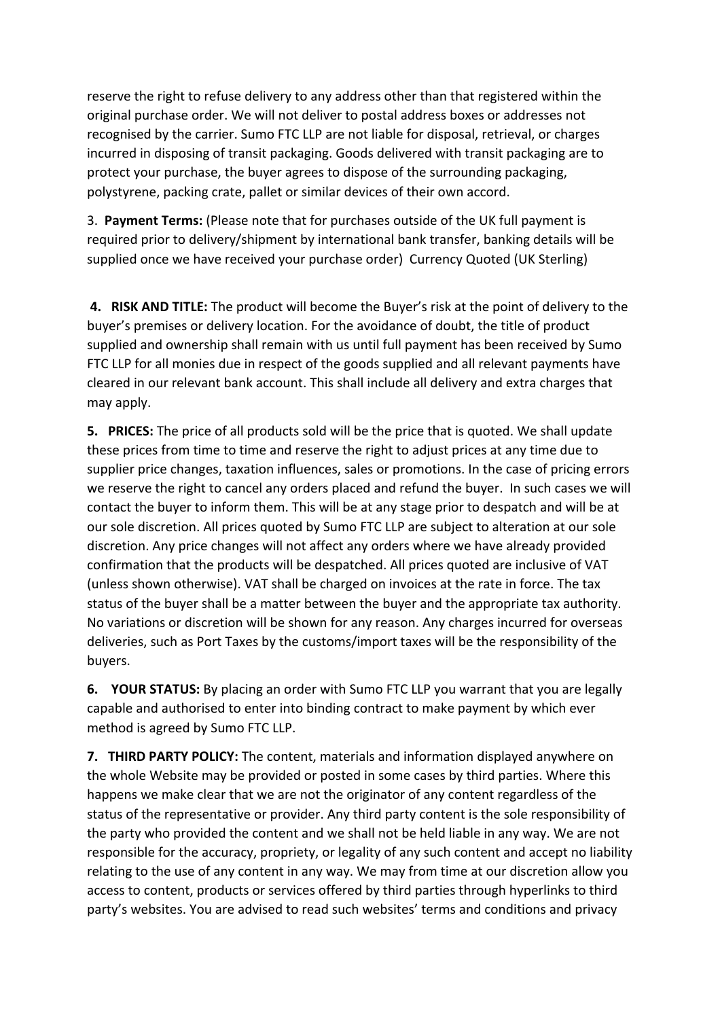reserve the right to refuse delivery to any address other than that registered within the original purchase order. We will not deliver to postal address boxes or addresses not recognised by the carrier. Sumo FTC LLP are not liable for disposal, retrieval, or charges incurred in disposing of transit packaging. Goods delivered with transit packaging are to protect your purchase, the buyer agrees to dispose of the surrounding packaging, polystyrene, packing crate, pallet or similar devices of their own accord.

3. Payment Terms: (Please note that for purchases outside of the UK full payment is required prior to delivery/shipment by international bank transfer, banking details will be supplied once we have received your purchase order) Currency Quoted (UK Sterling)

**4. RISK AND TITLE:** The product will become the Buyer's risk at the point of delivery to the buyer's premises or delivery location. For the avoidance of doubt, the title of product supplied and ownership shall remain with us until full payment has been received by Sumo FTC LLP for all monies due in respect of the goods supplied and all relevant payments have cleared in our relevant bank account. This shall include all delivery and extra charges that may apply.

**5. PRICES:** The price of all products sold will be the price that is quoted. We shall update these prices from time to time and reserve the right to adjust prices at any time due to supplier price changes, taxation influences, sales or promotions. In the case of pricing errors we reserve the right to cancel any orders placed and refund the buyer. In such cases we will contact the buyer to inform them. This will be at any stage prior to despatch and will be at our sole discretion. All prices quoted by Sumo FTC LLP are subject to alteration at our sole discretion. Any price changes will not affect any orders where we have already provided confirmation that the products will be despatched. All prices quoted are inclusive of VAT (unless shown otherwise). VAT shall be charged on invoices at the rate in force. The tax status of the buyer shall be a matter between the buyer and the appropriate tax authority. No variations or discretion will be shown for any reason. Any charges incurred for overseas deliveries, such as Port Taxes by the customs/import taxes will be the responsibility of the buyers. 

**6.** YOUR STATUS: By placing an order with Sumo FTC LLP you warrant that you are legally capable and authorised to enter into binding contract to make payment by which ever method is agreed by Sumo FTC LLP.

**7. THIRD PARTY POLICY:** The content, materials and information displayed anywhere on the whole Website may be provided or posted in some cases by third parties. Where this happens we make clear that we are not the originator of any content regardless of the status of the representative or provider. Any third party content is the sole responsibility of the party who provided the content and we shall not be held liable in any way. We are not responsible for the accuracy, propriety, or legality of any such content and accept no liability relating to the use of any content in any way. We may from time at our discretion allow you access to content, products or services offered by third parties through hyperlinks to third party's websites. You are advised to read such websites' terms and conditions and privacy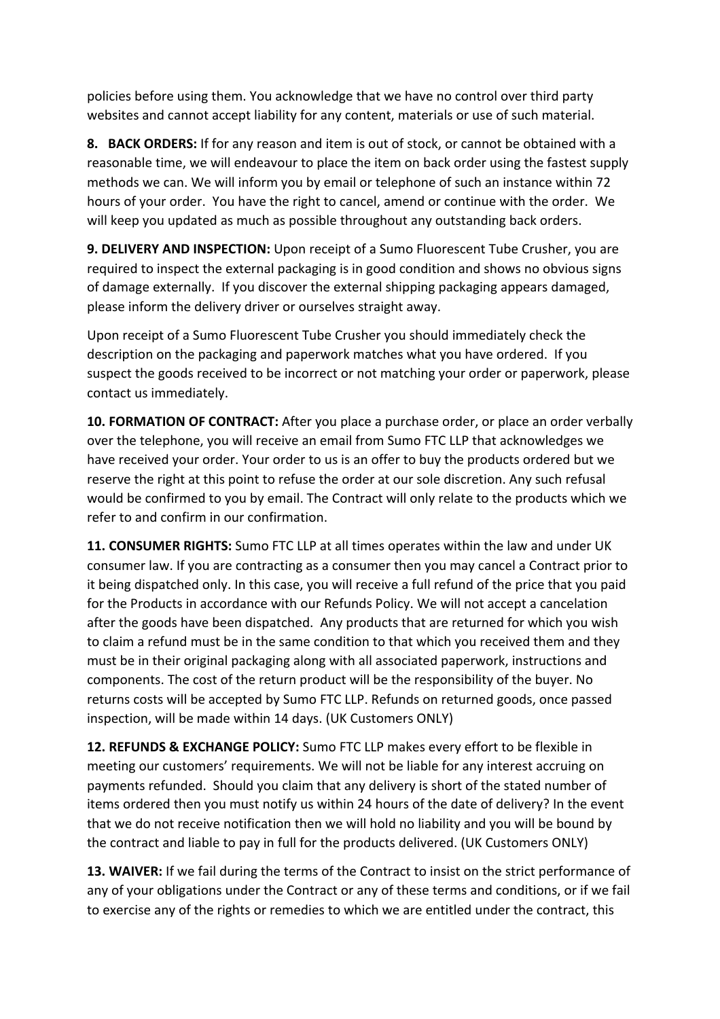policies before using them. You acknowledge that we have no control over third party websites and cannot accept liability for any content, materials or use of such material.

**8.** BACK ORDERS: If for any reason and item is out of stock, or cannot be obtained with a reasonable time, we will endeavour to place the item on back order using the fastest supply methods we can. We will inform you by email or telephone of such an instance within 72 hours of your order. You have the right to cancel, amend or continue with the order. We will keep you updated as much as possible throughout any outstanding back orders.

9. DELIVERY AND INSPECTION: Upon receipt of a Sumo Fluorescent Tube Crusher, you are required to inspect the external packaging is in good condition and shows no obvious signs of damage externally. If you discover the external shipping packaging appears damaged, please inform the delivery driver or ourselves straight away.

Upon receipt of a Sumo Fluorescent Tube Crusher you should immediately check the description on the packaging and paperwork matches what you have ordered. If you suspect the goods received to be incorrect or not matching your order or paperwork, please contact us immediately.

**10. FORMATION OF CONTRACT:** After you place a purchase order, or place an order verbally over the telephone, you will receive an email from Sumo FTC LLP that acknowledges we have received your order. Your order to us is an offer to buy the products ordered but we reserve the right at this point to refuse the order at our sole discretion. Any such refusal would be confirmed to you by email. The Contract will only relate to the products which we refer to and confirm in our confirmation.

**11. CONSUMER RIGHTS:** Sumo FTC LLP at all times operates within the law and under UK consumer law. If you are contracting as a consumer then you may cancel a Contract prior to it being dispatched only. In this case, you will receive a full refund of the price that you paid for the Products in accordance with our Refunds Policy. We will not accept a cancelation after the goods have been dispatched. Any products that are returned for which you wish to claim a refund must be in the same condition to that which you received them and they must be in their original packaging along with all associated paperwork, instructions and components. The cost of the return product will be the responsibility of the buyer. No returns costs will be accepted by Sumo FTC LLP. Refunds on returned goods, once passed inspection, will be made within 14 days. (UK Customers ONLY)

**12. REFUNDS & EXCHANGE POLICY:** Sumo FTC LLP makes every effort to be flexible in meeting our customers' requirements. We will not be liable for any interest accruing on payments refunded. Should you claim that any delivery is short of the stated number of items ordered then you must notify us within 24 hours of the date of delivery? In the event that we do not receive notification then we will hold no liability and you will be bound by the contract and liable to pay in full for the products delivered. (UK Customers ONLY)

**13. WAIVER:** If we fail during the terms of the Contract to insist on the strict performance of any of your obligations under the Contract or any of these terms and conditions, or if we fail to exercise any of the rights or remedies to which we are entitled under the contract, this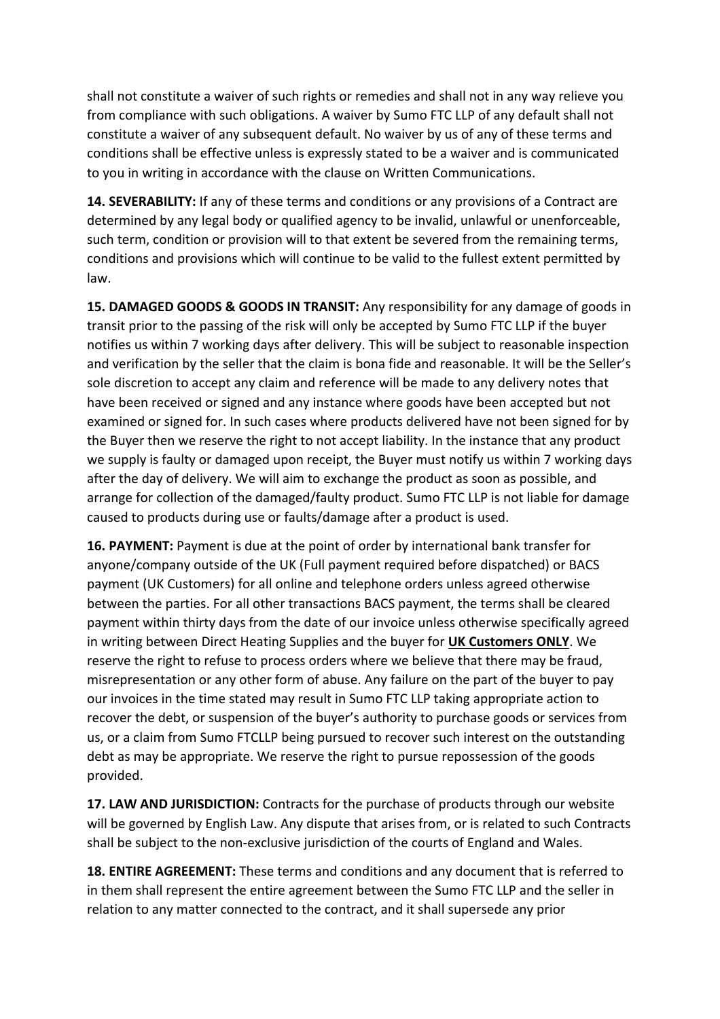shall not constitute a waiver of such rights or remedies and shall not in any way relieve you from compliance with such obligations. A waiver by Sumo FTC LLP of any default shall not constitute a waiver of any subsequent default. No waiver by us of any of these terms and conditions shall be effective unless is expressly stated to be a waiver and is communicated to you in writing in accordance with the clause on Written Communications.

**14. SEVERABILITY:** If any of these terms and conditions or any provisions of a Contract are determined by any legal body or qualified agency to be invalid, unlawful or unenforceable, such term, condition or provision will to that extent be severed from the remaining terms, conditions and provisions which will continue to be valid to the fullest extent permitted by law.

**15. DAMAGED GOODS & GOODS IN TRANSIT:** Any responsibility for any damage of goods in transit prior to the passing of the risk will only be accepted by Sumo FTC LLP if the buyer notifies us within 7 working days after delivery. This will be subject to reasonable inspection and verification by the seller that the claim is bona fide and reasonable. It will be the Seller's sole discretion to accept any claim and reference will be made to any delivery notes that have been received or signed and any instance where goods have been accepted but not examined or signed for. In such cases where products delivered have not been signed for by the Buyer then we reserve the right to not accept liability. In the instance that any product we supply is faulty or damaged upon receipt, the Buyer must notify us within 7 working days after the day of delivery. We will aim to exchange the product as soon as possible, and arrange for collection of the damaged/faulty product. Sumo FTC LLP is not liable for damage caused to products during use or faults/damage after a product is used.

**16. PAYMENT:** Payment is due at the point of order by international bank transfer for anyone/company outside of the UK (Full payment required before dispatched) or BACS payment (UK Customers) for all online and telephone orders unless agreed otherwise between the parties. For all other transactions BACS payment, the terms shall be cleared payment within thirty days from the date of our invoice unless otherwise specifically agreed in writing between Direct Heating Supplies and the buyer for UK Customers ONLY. We reserve the right to refuse to process orders where we believe that there may be fraud, misrepresentation or any other form of abuse. Any failure on the part of the buyer to pay our invoices in the time stated may result in Sumo FTC LLP taking appropriate action to recover the debt, or suspension of the buyer's authority to purchase goods or services from us, or a claim from Sumo FTCLLP being pursued to recover such interest on the outstanding debt as may be appropriate. We reserve the right to pursue repossession of the goods provided.

**17. LAW AND JURISDICTION:** Contracts for the purchase of products through our website will be governed by English Law. Any dispute that arises from, or is related to such Contracts shall be subject to the non-exclusive jurisdiction of the courts of England and Wales.

**18. ENTIRE AGREEMENT:** These terms and conditions and any document that is referred to in them shall represent the entire agreement between the Sumo FTC LLP and the seller in relation to any matter connected to the contract, and it shall supersede any prior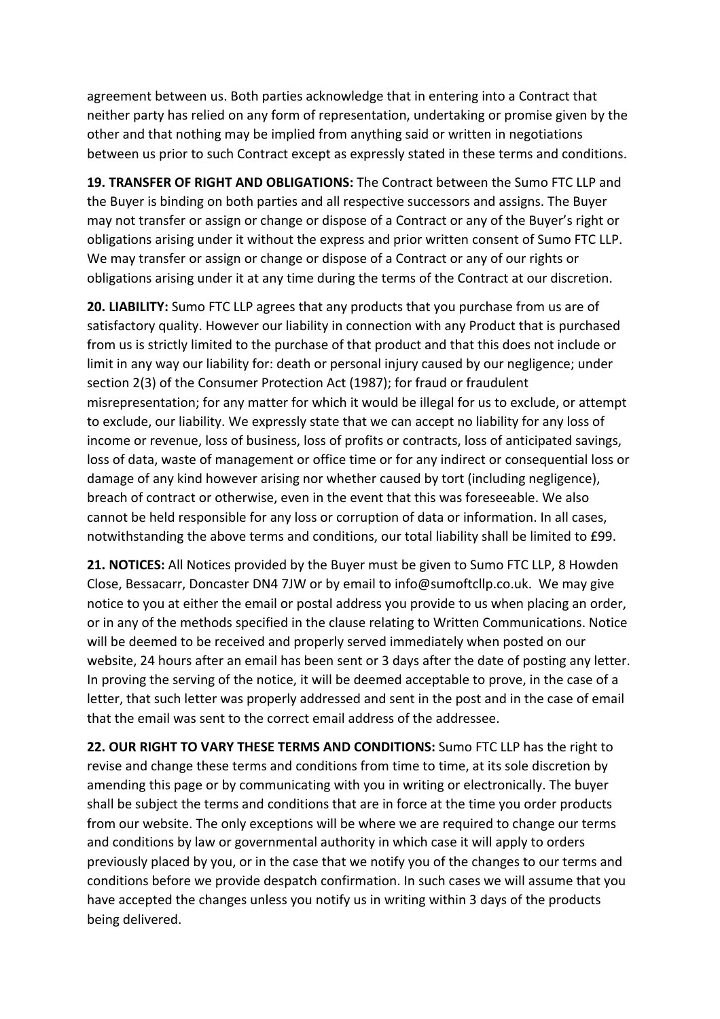agreement between us. Both parties acknowledge that in entering into a Contract that neither party has relied on any form of representation, undertaking or promise given by the other and that nothing may be implied from anything said or written in negotiations between us prior to such Contract except as expressly stated in these terms and conditions.

**19. TRANSFER OF RIGHT AND OBLIGATIONS:** The Contract between the Sumo FTC LLP and the Buyer is binding on both parties and all respective successors and assigns. The Buyer may not transfer or assign or change or dispose of a Contract or any of the Buyer's right or obligations arising under it without the express and prior written consent of Sumo FTC LLP. We may transfer or assign or change or dispose of a Contract or any of our rights or obligations arising under it at any time during the terms of the Contract at our discretion.

**20. LIABILITY:** Sumo FTC LLP agrees that any products that you purchase from us are of satisfactory quality. However our liability in connection with any Product that is purchased from us is strictly limited to the purchase of that product and that this does not include or limit in any way our liability for: death or personal injury caused by our negligence; under section 2(3) of the Consumer Protection Act (1987); for fraud or fraudulent misrepresentation; for any matter for which it would be illegal for us to exclude, or attempt to exclude, our liability. We expressly state that we can accept no liability for any loss of income or revenue, loss of business, loss of profits or contracts, loss of anticipated savings, loss of data, waste of management or office time or for any indirect or consequential loss or damage of any kind however arising nor whether caused by tort (including negligence), breach of contract or otherwise, even in the event that this was foreseeable. We also cannot be held responsible for any loss or corruption of data or information. In all cases, notwithstanding the above terms and conditions, our total liability shall be limited to £99.

**21. NOTICES:** All Notices provided by the Buyer must be given to Sumo FTC LLP, 8 Howden Close, Bessacarr, Doncaster DN4 7JW or by email to info@sumoftcllp.co.uk. We may give notice to you at either the email or postal address you provide to us when placing an order, or in any of the methods specified in the clause relating to Written Communications. Notice will be deemed to be received and properly served immediately when posted on our website, 24 hours after an email has been sent or 3 days after the date of posting any letter. In proving the serving of the notice, it will be deemed acceptable to prove, in the case of a letter, that such letter was properly addressed and sent in the post and in the case of email that the email was sent to the correct email address of the addressee.

**22. OUR RIGHT TO VARY THESE TERMS AND CONDITIONS:** Sumo FTC LLP has the right to revise and change these terms and conditions from time to time, at its sole discretion by amending this page or by communicating with you in writing or electronically. The buyer shall be subject the terms and conditions that are in force at the time you order products from our website. The only exceptions will be where we are required to change our terms and conditions by law or governmental authority in which case it will apply to orders previously placed by you, or in the case that we notify you of the changes to our terms and conditions before we provide despatch confirmation. In such cases we will assume that you have accepted the changes unless you notify us in writing within 3 days of the products being delivered.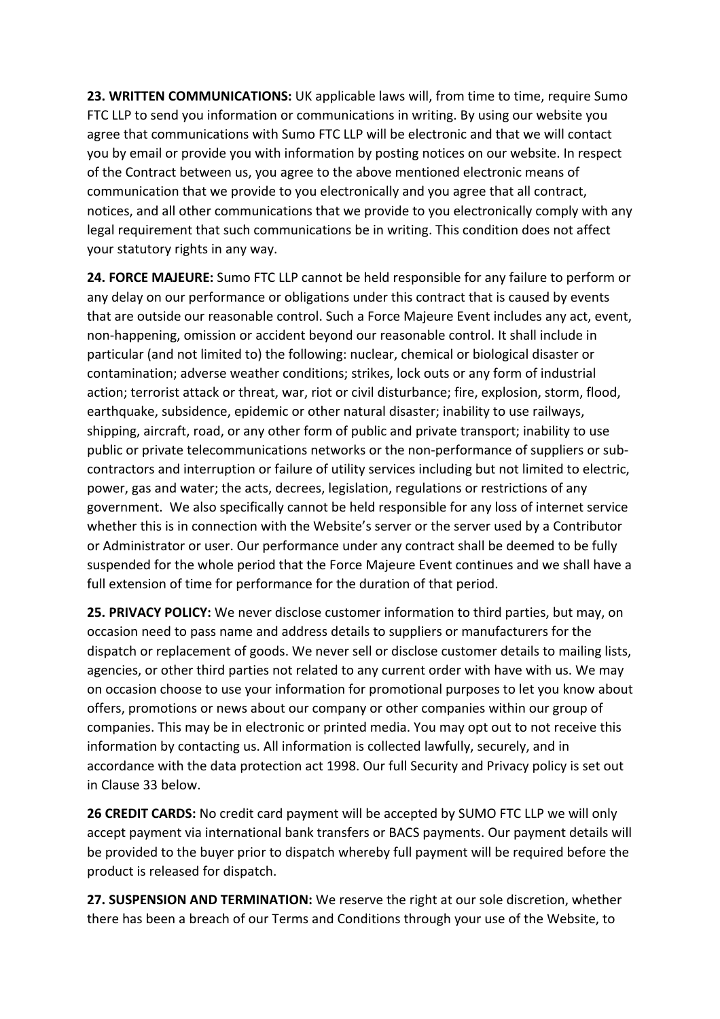**23. WRITTEN COMMUNICATIONS:** UK applicable laws will, from time to time, require Sumo FTC LLP to send you information or communications in writing. By using our website you agree that communications with Sumo FTC LLP will be electronic and that we will contact you by email or provide you with information by posting notices on our website. In respect of the Contract between us, you agree to the above mentioned electronic means of communication that we provide to you electronically and you agree that all contract, notices, and all other communications that we provide to you electronically comply with any legal requirement that such communications be in writing. This condition does not affect your statutory rights in any way.

**24. FORCE MAJEURE:** Sumo FTC LLP cannot be held responsible for any failure to perform or any delay on our performance or obligations under this contract that is caused by events that are outside our reasonable control. Such a Force Majeure Event includes any act, event, non-happening, omission or accident beyond our reasonable control. It shall include in particular (and not limited to) the following: nuclear, chemical or biological disaster or contamination; adverse weather conditions; strikes, lock outs or any form of industrial action; terrorist attack or threat, war, riot or civil disturbance; fire, explosion, storm, flood, earthquake, subsidence, epidemic or other natural disaster; inability to use railways, shipping, aircraft, road, or any other form of public and private transport; inability to use public or private telecommunications networks or the non-performance of suppliers or subcontractors and interruption or failure of utility services including but not limited to electric, power, gas and water; the acts, decrees, legislation, regulations or restrictions of any government. We also specifically cannot be held responsible for any loss of internet service whether this is in connection with the Website's server or the server used by a Contributor or Administrator or user. Our performance under any contract shall be deemed to be fully suspended for the whole period that the Force Majeure Event continues and we shall have a full extension of time for performance for the duration of that period.

**25. PRIVACY POLICY:** We never disclose customer information to third parties, but may, on occasion need to pass name and address details to suppliers or manufacturers for the dispatch or replacement of goods. We never sell or disclose customer details to mailing lists, agencies, or other third parties not related to any current order with have with us. We may on occasion choose to use your information for promotional purposes to let you know about offers, promotions or news about our company or other companies within our group of companies. This may be in electronic or printed media. You may opt out to not receive this information by contacting us. All information is collected lawfully, securely, and in accordance with the data protection act 1998. Our full Security and Privacy policy is set out in Clause 33 below.

**26 CREDIT CARDS:** No credit card payment will be accepted by SUMO FTC LLP we will only accept payment via international bank transfers or BACS payments. Our payment details will be provided to the buyer prior to dispatch whereby full payment will be required before the product is released for dispatch.

**27. SUSPENSION AND TERMINATION:** We reserve the right at our sole discretion, whether there has been a breach of our Terms and Conditions through your use of the Website, to